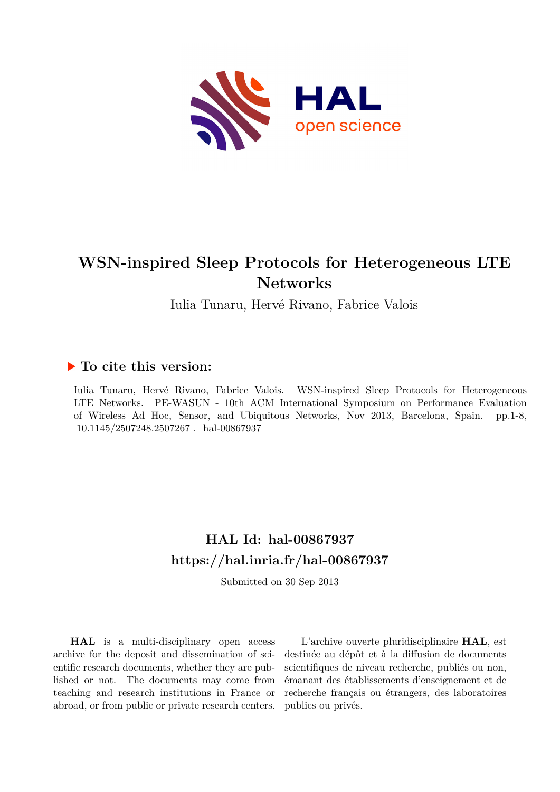

# **WSN-inspired Sleep Protocols for Heterogeneous LTE Networks**

Iulia Tunaru, Hervé Rivano, Fabrice Valois

## **To cite this version:**

Iulia Tunaru, Hervé Rivano, Fabrice Valois. WSN-inspired Sleep Protocols for Heterogeneous LTE Networks. PE-WASUN - 10th ACM International Symposium on Performance Evaluation of Wireless Ad Hoc, Sensor, and Ubiquitous Networks, Nov 2013, Barcelona, Spain. pp.1-8, 10.1145/2507248.2507267. hal-00867937

## **HAL Id: hal-00867937 <https://hal.inria.fr/hal-00867937>**

Submitted on 30 Sep 2013

**HAL** is a multi-disciplinary open access archive for the deposit and dissemination of scientific research documents, whether they are published or not. The documents may come from teaching and research institutions in France or abroad, or from public or private research centers.

L'archive ouverte pluridisciplinaire **HAL**, est destinée au dépôt et à la diffusion de documents scientifiques de niveau recherche, publiés ou non, émanant des établissements d'enseignement et de recherche français ou étrangers, des laboratoires publics ou privés.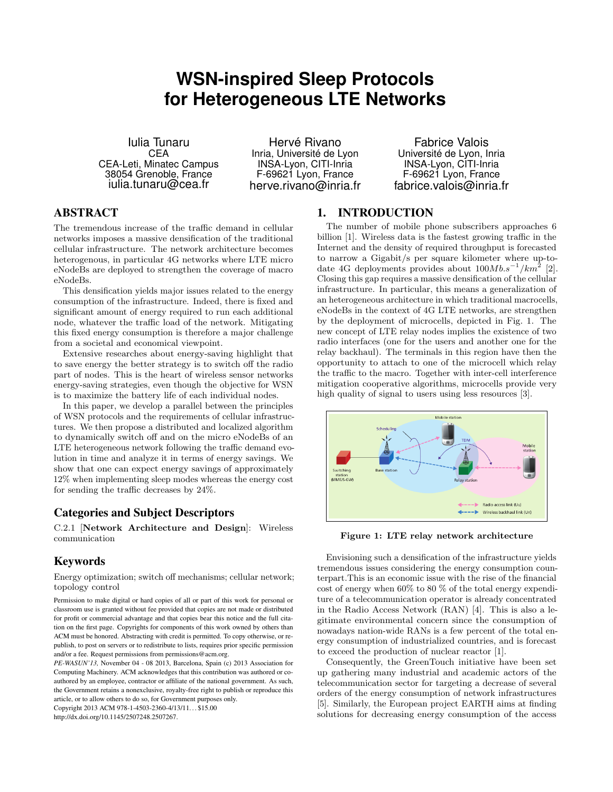## **WSN-inspired Sleep Protocols for Heterogeneous LTE Networks**

Iulia Tunaru **CEA** CEA-Leti, Minatec Campus 38054 Grenoble, France iulia.tunaru@cea.fr

Hervé Rivano Inria, Université de Lyon INSA-Lyon, CITI-Inria F-69621 Lyon, France herve.rivano@inria.fr

Fabrice Valois Université de Lyon, Inria INSA-Lyon, CITI-Inria F-69621 Lyon, France fabrice.valois@inria.fr

## ABSTRACT

The tremendous increase of the traffic demand in cellular networks imposes a massive densification of the traditional cellular infrastructure. The network architecture becomes heterogenous, in particular 4G networks where LTE micro eNodeBs are deployed to strengthen the coverage of macro eNodeBs.

This densification yields major issues related to the energy consumption of the infrastructure. Indeed, there is fixed and significant amount of energy required to run each additional node, whatever the traffic load of the network. Mitigating this fixed energy consumption is therefore a major challenge from a societal and economical viewpoint.

Extensive researches about energy-saving highlight that to save energy the better strategy is to switch off the radio part of nodes. This is the heart of wireless sensor networks energy-saving strategies, even though the objective for WSN is to maximize the battery life of each individual nodes.

In this paper, we develop a parallel between the principles of WSN protocols and the requirements of cellular infrastructures. We then propose a distributed and localized algorithm to dynamically switch off and on the micro eNodeBs of an LTE heterogeneous network following the traffic demand evolution in time and analyze it in terms of energy savings. We show that one can expect energy savings of approximately 12% when implementing sleep modes whereas the energy cost for sending the traffic decreases by 24%.

## Categories and Subject Descriptors

C.2.1 [Network Architecture and Design]: Wireless communication

## Keywords

Energy optimization; switch off mechanisms; cellular network; topology control

Permission to make digital or hard copies of all or part of this work for personal or classroom use is granted without fee provided that copies are not made or distributed for profit or commercial advantage and that copies bear this notice and the full citation on the first page. Copyrights for components of this work owned by others than ACM must be honored. Abstracting with credit is permitted. To copy otherwise, or republish, to post on servers or to redistribute to lists, requires prior specific permission and/or a fee. Request permissions from permissions@acm.org.

*PE-WASUN'13,* November 04 - 08 2013, Barcelona, Spain (c) 2013 Association for Computing Machinery. ACM acknowledges that this contribution was authored or coauthored by an employee, contractor or affiliate of the national government. As such, the Government retains a nonexclusive, royalty-free right to publish or reproduce this article, or to allow others to do so, for Government purposes only.

Copyright 2013 ACM 978-1-4503-2360-4/13/11. . . \$15.00

http://dx.doi.org/10.1145/2507248.2507267.

## 1. INTRODUCTION

The number of mobile phone subscribers approaches 6 billion [1]. Wireless data is the fastest growing traffic in the Internet and the density of required throughput is forecasted to narrow a Gigabit/s per square kilometer where up-todate 4G deployments provides about  $100Mb.s^{-1}/km^2$  [2]. Closing this gap requires a massive densification of the cellular infrastructure. In particular, this means a generalization of an heterogeneous architecture in which traditional macrocells, eNodeBs in the context of 4G LTE networks, are strengthen by the deployment of microcells, depicted in Fig. 1. The new concept of LTE relay nodes implies the existence of two radio interfaces (one for the users and another one for the relay backhaul). The terminals in this region have then the opportunity to attach to one of the microcell which relay the traffic to the macro. Together with inter-cell interference mitigation cooperative algorithms, microcells provide very high quality of signal to users using less resources [3].



Figure 1: LTE relay network architecture

Envisioning such a densification of the infrastructure yields tremendous issues considering the energy consumption counterpart.This is an economic issue with the rise of the financial cost of energy when 60% to 80 % of the total energy expenditure of a telecommunication operator is already concentrated in the Radio Access Network (RAN) [4]. This is also a legitimate environmental concern since the consumption of nowadays nation-wide RANs is a few percent of the total energy consumption of industrialized countries, and is forecast to exceed the production of nuclear reactor [1].

Consequently, the GreenTouch initiative have been set up gathering many industrial and academic actors of the telecommunication sector for targeting a decrease of several orders of the energy consumption of network infrastructures [5]. Similarly, the European project EARTH aims at finding solutions for decreasing energy consumption of the access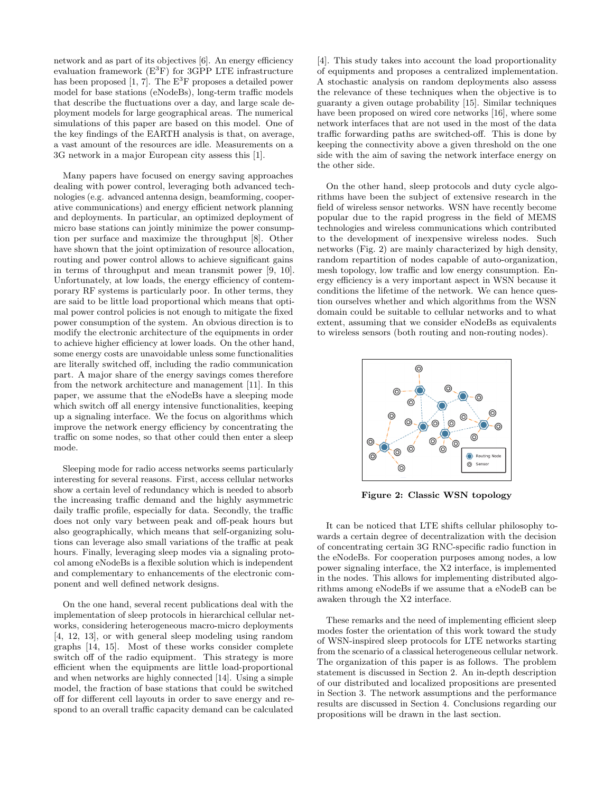network and as part of its objectives [6]. An energy efficiency evaluation framework  $(E^3F)$  for 3GPP LTE infrastructure has been proposed [1, 7]. The  $E^3F$  proposes a detailed power model for base stations (eNodeBs), long-term traffic models that describe the fluctuations over a day, and large scale deployment models for large geographical areas. The numerical simulations of this paper are based on this model. One of the key findings of the EARTH analysis is that, on average, a vast amount of the resources are idle. Measurements on a 3G network in a major European city assess this [1].

Many papers have focused on energy saving approaches dealing with power control, leveraging both advanced technologies (e.g. advanced antenna design, beamforming, cooperative communications) and energy efficient network planning and deployments. In particular, an optimized deployment of micro base stations can jointly minimize the power consumption per surface and maximize the throughput [8]. Other have shown that the joint optimization of resource allocation, routing and power control allows to achieve significant gains in terms of throughput and mean transmit power [9, 10]. Unfortunately, at low loads, the energy efficiency of contemporary RF systems is particularly poor. In other terms, they are said to be little load proportional which means that optimal power control policies is not enough to mitigate the fixed power consumption of the system. An obvious direction is to modify the electronic architecture of the equipments in order to achieve higher efficiency at lower loads. On the other hand, some energy costs are unavoidable unless some functionalities are literally switched off, including the radio communication part. A major share of the energy savings comes therefore from the network architecture and management [11]. In this paper, we assume that the eNodeBs have a sleeping mode which switch off all energy intensive functionalities, keeping up a signaling interface. We the focus on algorithms which improve the network energy efficiency by concentrating the traffic on some nodes, so that other could then enter a sleep mode.

Sleeping mode for radio access networks seems particularly interesting for several reasons. First, access cellular networks show a certain level of redundancy which is needed to absorb the increasing traffic demand and the highly asymmetric daily traffic profile, especially for data. Secondly, the traffic does not only vary between peak and off-peak hours but also geographically, which means that self-organizing solutions can leverage also small variations of the traffic at peak hours. Finally, leveraging sleep modes via a signaling protocol among eNodeBs is a flexible solution which is independent and complementary to enhancements of the electronic component and well defined network designs.

On the one hand, several recent publications deal with the implementation of sleep protocols in hierarchical cellular networks, considering heterogeneous macro-micro deployments [4, 12, 13], or with general sleep modeling using random graphs [14, 15]. Most of these works consider complete switch off of the radio equipment. This strategy is more efficient when the equipments are little load-proportional and when networks are highly connected [14]. Using a simple model, the fraction of base stations that could be switched off for different cell layouts in order to save energy and respond to an overall traffic capacity demand can be calculated

[4]. This study takes into account the load proportionality of equipments and proposes a centralized implementation. A stochastic analysis on random deployments also assess the relevance of these techniques when the objective is to guaranty a given outage probability [15]. Similar techniques have been proposed on wired core networks [16], where some network interfaces that are not used in the most of the data traffic forwarding paths are switched-off. This is done by keeping the connectivity above a given threshold on the one side with the aim of saving the network interface energy on the other side.

On the other hand, sleep protocols and duty cycle algorithms have been the subject of extensive research in the field of wireless sensor networks. WSN have recently become popular due to the rapid progress in the field of MEMS technologies and wireless communications which contributed to the development of inexpensive wireless nodes. Such networks (Fig. 2) are mainly characterized by high density, random repartition of nodes capable of auto-organization, mesh topology, low traffic and low energy consumption. Energy efficiency is a very important aspect in WSN because it conditions the lifetime of the network. We can hence question ourselves whether and which algorithms from the WSN domain could be suitable to cellular networks and to what extent, assuming that we consider eNodeBs as equivalents to wireless sensors (both routing and non-routing nodes).



Figure 2: Classic WSN topology

It can be noticed that LTE shifts cellular philosophy towards a certain degree of decentralization with the decision of concentrating certain 3G RNC-specific radio function in the eNodeBs. For cooperation purposes among nodes, a low power signaling interface, the X2 interface, is implemented in the nodes. This allows for implementing distributed algorithms among eNodeBs if we assume that a eNodeB can be awaken through the X2 interface.

These remarks and the need of implementing efficient sleep modes foster the orientation of this work toward the study of WSN-inspired sleep protocols for LTE networks starting from the scenario of a classical heterogeneous cellular network. The organization of this paper is as follows. The problem statement is discussed in Section 2. An in-depth description of our distributed and localized propositions are presented in Section 3. The network assumptions and the performance results are discussed in Section 4. Conclusions regarding our propositions will be drawn in the last section.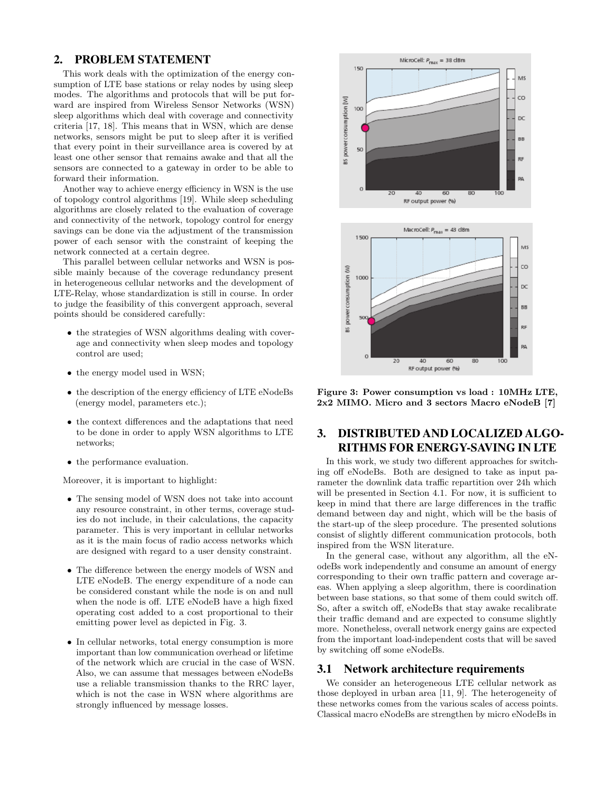### 2. PROBLEM STATEMENT

This work deals with the optimization of the energy consumption of LTE base stations or relay nodes by using sleep modes. The algorithms and protocols that will be put forward are inspired from Wireless Sensor Networks (WSN) sleep algorithms which deal with coverage and connectivity criteria [17, 18]. This means that in WSN, which are dense networks, sensors might be put to sleep after it is verified that every point in their surveillance area is covered by at least one other sensor that remains awake and that all the sensors are connected to a gateway in order to be able to forward their information.

Another way to achieve energy efficiency in WSN is the use of topology control algorithms [19]. While sleep scheduling algorithms are closely related to the evaluation of coverage and connectivity of the network, topology control for energy savings can be done via the adjustment of the transmission power of each sensor with the constraint of keeping the network connected at a certain degree.

This parallel between cellular networks and WSN is possible mainly because of the coverage redundancy present in heterogeneous cellular networks and the development of LTE-Relay, whose standardization is still in course. In order to judge the feasibility of this convergent approach, several points should be considered carefully:

- the strategies of WSN algorithms dealing with coverage and connectivity when sleep modes and topology control are used;
- the energy model used in WSN;
- the description of the energy efficiency of LTE eNodeBs (energy model, parameters etc.);
- the context differences and the adaptations that need to be done in order to apply WSN algorithms to LTE networks;
- the performance evaluation.

Moreover, it is important to highlight:

- The sensing model of WSN does not take into account any resource constraint, in other terms, coverage studies do not include, in their calculations, the capacity parameter. This is very important in cellular networks as it is the main focus of radio access networks which are designed with regard to a user density constraint.
- The difference between the energy models of WSN and LTE eNodeB. The energy expenditure of a node can be considered constant while the node is on and null when the node is off. LTE eNodeB have a high fixed operating cost added to a cost proportional to their emitting power level as depicted in Fig. 3.
- In cellular networks, total energy consumption is more important than low communication overhead or lifetime of the network which are crucial in the case of WSN. Also, we can assume that messages between eNodeBs use a reliable transmission thanks to the RRC layer, which is not the case in WSN where algorithms are strongly influenced by message losses.



Figure 3: Power consumption vs load : 10MHz LTE, 2x2 MIMO. Micro and 3 sectors Macro eNodeB [7]

## 3. DISTRIBUTED AND LOCALIZED ALGO-RITHMS FOR ENERGY-SAVING IN LTE

In this work, we study two different approaches for switching off eNodeBs. Both are designed to take as input parameter the downlink data traffic repartition over 24h which will be presented in Section 4.1. For now, it is sufficient to keep in mind that there are large differences in the traffic demand between day and night, which will be the basis of the start-up of the sleep procedure. The presented solutions consist of slightly different communication protocols, both inspired from the WSN literature.

In the general case, without any algorithm, all the eNodeBs work independently and consume an amount of energy corresponding to their own traffic pattern and coverage areas. When applying a sleep algorithm, there is coordination between base stations, so that some of them could switch off. So, after a switch off, eNodeBs that stay awake recalibrate their traffic demand and are expected to consume slightly more. Nonetheless, overall network energy gains are expected from the important load-independent costs that will be saved by switching off some eNodeBs.

#### 3.1 Network architecture requirements

We consider an heterogeneous LTE cellular network as those deployed in urban area [11, 9]. The heterogeneity of these networks comes from the various scales of access points. Classical macro eNodeBs are strengthen by micro eNodeBs in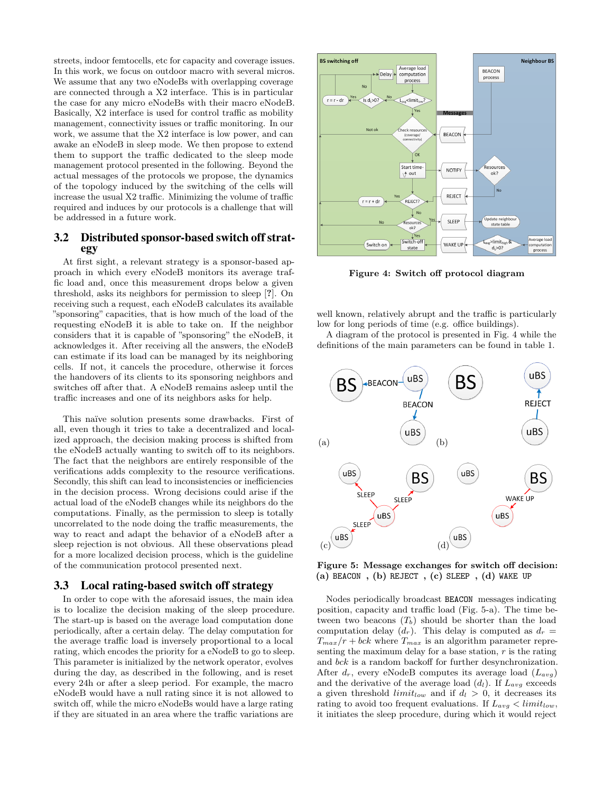streets, indoor femtocells, etc for capacity and coverage issues. In this work, we focus on outdoor macro with several micros. We assume that any two eNodeBs with overlapping coverage are connected through a X2 interface. This is in particular the case for any micro eNodeBs with their macro eNodeB. Basically, X2 interface is used for control traffic as mobility management, connectivity issues or traffic monitoring. In our work, we assume that the X2 interface is low power, and can awake an eNodeB in sleep mode. We then propose to extend them to support the traffic dedicated to the sleep mode management protocol presented in the following. Beyond the actual messages of the protocols we propose, the dynamics of the topology induced by the switching of the cells will increase the usual X2 traffic. Minimizing the volume of traffic required and induces by our protocols is a challenge that will be addressed in a future work.

### 3.2 Distributed sponsor-based switch off strategy

At first sight, a relevant strategy is a sponsor-based approach in which every eNodeB monitors its average traffic load and, once this measurement drops below a given threshold, asks its neighbors for permission to sleep [?]. On receiving such a request, each eNodeB calculates its available "sponsoring" capacities, that is how much of the load of the requesting eNodeB it is able to take on. If the neighbor considers that it is capable of "sponsoring" the eNodeB, it acknowledges it. After receiving all the answers, the eNodeB can estimate if its load can be managed by its neighboring cells. If not, it cancels the procedure, otherwise it forces the handovers of its clients to its sponsoring neighbors and switches off after that. A eNodeB remains asleep until the traffic increases and one of its neighbors asks for help.

This naïve solution presents some drawbacks. First of all, even though it tries to take a decentralized and localized approach, the decision making process is shifted from the eNodeB actually wanting to switch off to its neighbors. The fact that the neighbors are entirely responsible of the verifications adds complexity to the resource verifications. Secondly, this shift can lead to inconsistencies or inefficiencies in the decision process. Wrong decisions could arise if the actual load of the eNodeB changes while its neighbors do the computations. Finally, as the permission to sleep is totally uncorrelated to the node doing the traffic measurements, the way to react and adapt the behavior of a eNodeB after a sleep rejection is not obvious. All these observations plead for a more localized decision process, which is the guideline of the communication protocol presented next.

#### 3.3 Local rating-based switch off strategy

In order to cope with the aforesaid issues, the main idea is to localize the decision making of the sleep procedure. The start-up is based on the average load computation done periodically, after a certain delay. The delay computation for the average traffic load is inversely proportional to a local rating, which encodes the priority for a eNodeB to go to sleep. This parameter is initialized by the network operator, evolves during the day, as described in the following, and is reset every 24h or after a sleep period. For example, the macro eNodeB would have a null rating since it is not allowed to switch off, while the micro eNodeBs would have a large rating if they are situated in an area where the traffic variations are



Figure 4: Switch off protocol diagram

well known, relatively abrupt and the traffic is particularly low for long periods of time (e.g. office buildings).

A diagram of the protocol is presented in Fig. 4 while the definitions of the main parameters can be found in table 1.



Figure 5: Message exchanges for switch off decision:  $(a)$  BEACON,  $(b)$  REJECT,  $(c)$  SLEEP,  $(d)$  WAKE UP

Nodes periodically broadcast BEACON messages indicating position, capacity and traffic load (Fig. 5-a). The time between two beacons  $(T_b)$  should be shorter than the load computation delay  $(d_r)$ . This delay is computed as  $d_r =$  $T_{max}/r + bck$  where  $T_{max}$  is an algorithm parameter representing the maximum delay for a base station,  $r$  is the rating and bck is a random backoff for further desynchronization. After  $d_r$ , every eNodeB computes its average load  $(L_{avg})$ and the derivative of the average load  $(d_l)$ . If  $L_{avg}$  exceeds a given threshold  $limit_{low}$  and if  $d_l > 0$ , it decreases its rating to avoid too frequent evaluations. If  $L_{avg} < limit_{low}$ , it initiates the sleep procedure, during which it would reject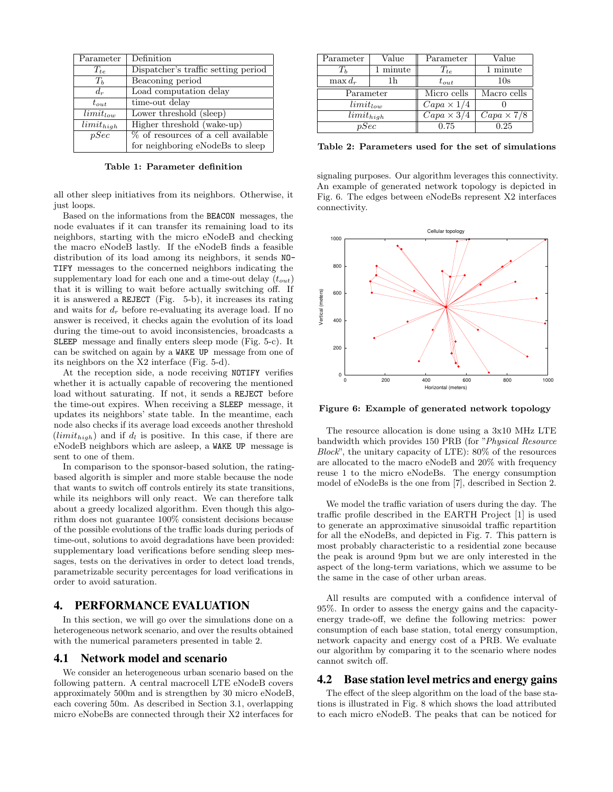| Parameter      | Definition                          |  |  |
|----------------|-------------------------------------|--|--|
| $T_{te}$       | Dispatcher's traffic setting period |  |  |
| $T_h$          | Beaconing period                    |  |  |
| $d_r$          | Load computation delay              |  |  |
| $t_{out}$      | time-out delay                      |  |  |
| $limit_{low}$  | Lower threshold (sleep)             |  |  |
| $limit_{high}$ | Higher threshold (wake-up)          |  |  |
| pSec           | % of resources of a cell available  |  |  |
|                | for neighboring eNodeBs to sleep    |  |  |

Table 1: Parameter definition

all other sleep initiatives from its neighbors. Otherwise, it just loops.

Based on the informations from the BEACON messages, the node evaluates if it can transfer its remaining load to its neighbors, starting with the micro eNodeB and checking the macro eNodeB lastly. If the eNodeB finds a feasible distribution of its load among its neighbors, it sends NO-TIFY messages to the concerned neighbors indicating the supplementary load for each one and a time-out delay  $(t_{out})$ that it is willing to wait before actually switching off. If it is answered a REJECT (Fig. 5-b), it increases its rating and waits for  $d_r$  before re-evaluating its average load. If no answer is received, it checks again the evolution of its load during the time-out to avoid inconsistencies, broadcasts a SLEEP message and finally enters sleep mode (Fig. 5-c). It can be switched on again by a WAKE UP message from one of its neighbors on the X2 interface (Fig. 5-d).

At the reception side, a node receiving NOTIFY verifies whether it is actually capable of recovering the mentioned load without saturating. If not, it sends a REJECT before the time-out expires. When receiving a SLEEP message, it updates its neighbors' state table. In the meantime, each node also checks if its average load exceeds another threshold  $(limit_{high})$  and if  $d_l$  is positive. In this case, if there are eNodeB neighbors which are asleep, a WAKE UP message is sent to one of them.

In comparison to the sponsor-based solution, the ratingbased algorith is simpler and more stable because the node that wants to switch off controls entirely its state transitions, while its neighbors will only react. We can therefore talk about a greedy localized algorithm. Even though this algorithm does not guarantee 100% consistent decisions because of the possible evolutions of the traffic loads during periods of time-out, solutions to avoid degradations have been provided: supplementary load verifications before sending sleep messages, tests on the derivatives in order to detect load trends, parametrizable security percentages for load verifications in order to avoid saturation.

#### 4. PERFORMANCE EVALUATION

In this section, we will go over the simulations done on a heterogeneous network scenario, and over the results obtained with the numerical parameters presented in table 2.

#### 4.1 Network model and scenario

We consider an heterogeneous urban scenario based on the following pattern. A central macrocell LTE eNodeB covers approximately 500m and is strengthen by 30 micro eNodeB, each covering 50m. As described in Section 3.1, overlapping micro eNobeBs are connected through their X2 interfaces for

| Parameter                 | Value    | Parameter                | Value             |
|---------------------------|----------|--------------------------|-------------------|
| $T_h$                     | 1 minute | $T_{te}$                 | 1 minute          |
| $\max d_r$                | l h      | $t_{out}$                | 10s               |
| Parameter                 |          | Micro cells              | Macro cells       |
| $limit_{low}$             |          | $Capa \times 1/4$        |                   |
| $\overline{limit}_{high}$ |          | $\overline{C}$ apa × 3/4 | $Capa \times 7/8$ |
| pSec                      |          | 0.75                     | 0.25              |

Table 2: Parameters used for the set of simulations

signaling purposes. Our algorithm leverages this connectivity. An example of generated network topology is depicted in Fig. 6. The edges between eNodeBs represent X2 interfaces connectivity.



Figure 6: Example of generated network topology

The resource allocation is done using a 3x10 MHz LTE bandwidth which provides 150 PRB (for "Physical Resource Block", the unitary capacity of LTE): 80% of the resources are allocated to the macro eNodeB and 20% with frequency reuse 1 to the micro eNodeBs. The energy consumption model of eNodeBs is the one from [7], described in Section 2.

We model the traffic variation of users during the day. The traffic profile described in the EARTH Project [1] is used to generate an approximative sinusoidal traffic repartition for all the eNodeBs, and depicted in Fig. 7. This pattern is most probably characteristic to a residential zone because the peak is around 9pm but we are only interested in the aspect of the long-term variations, which we assume to be the same in the case of other urban areas.

All results are computed with a confidence interval of 95%. In order to assess the energy gains and the capacityenergy trade-off, we define the following metrics: power consumption of each base station, total energy consumption, network capacity and energy cost of a PRB. We evaluate our algorithm by comparing it to the scenario where nodes cannot switch off.

#### 4.2 Base station level metrics and energy gains

The effect of the sleep algorithm on the load of the base stations is illustrated in Fig. 8 which shows the load attributed to each micro eNodeB. The peaks that can be noticed for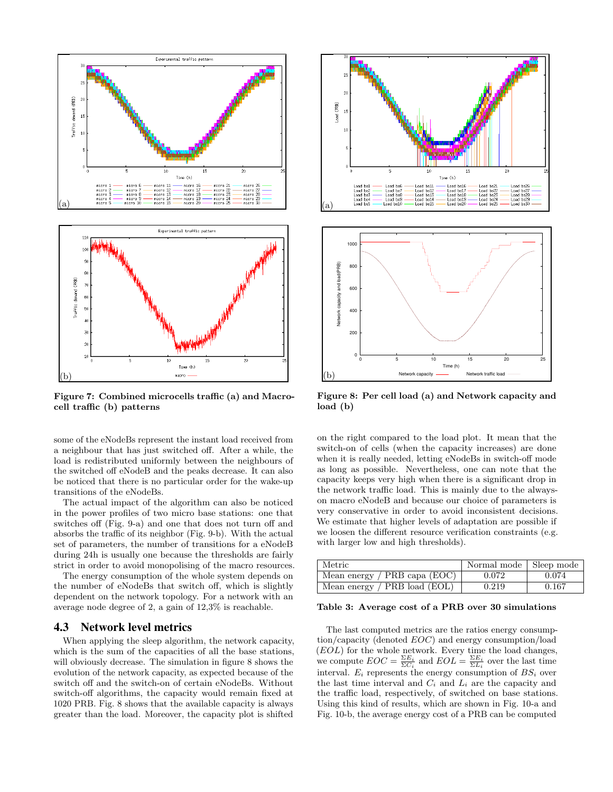

Figure 7: Combined microcells traffic (a) and Macrocell traffic (b) patterns

some of the eNodeBs represent the instant load received from a neighbour that has just switched off. After a while, the load is redistributed uniformly between the neighbours of the switched off eNodeB and the peaks decrease. It can also be noticed that there is no particular order for the wake-up transitions of the eNodeBs.

The actual impact of the algorithm can also be noticed in the power profiles of two micro base stations: one that switches off (Fig. 9-a) and one that does not turn off and absorbs the traffic of its neighbor (Fig. 9-b). With the actual set of parameters, the number of transitions for a eNodeB during 24h is usually one because the thresholds are fairly strict in order to avoid monopolising of the macro resources.

The energy consumption of the whole system depends on the number of eNodeBs that switch off, which is slightly dependent on the network topology. For a network with an average node degree of 2, a gain of 12,3% is reachable.

#### 4.3 Network level metrics

When applying the sleep algorithm, the network capacity, which is the sum of the capacities of all the base stations, will obviously decrease. The simulation in figure 8 shows the evolution of the network capacity, as expected because of the switch off and the switch-on of certain eNodeBs. Without switch-off algorithms, the capacity would remain fixed at 1020 PRB. Fig. 8 shows that the available capacity is always greater than the load. Moreover, the capacity plot is shifted



Figure 8: Per cell load (a) and Network capacity and load (b)

on the right compared to the load plot. It mean that the switch-on of cells (when the capacity increases) are done when it is really needed, letting eNodeBs in switch-off mode as long as possible. Nevertheless, one can note that the capacity keeps very high when there is a significant drop in the network traffic load. This is mainly due to the alwayson macro eNodeB and because our choice of parameters is very conservative in order to avoid inconsistent decisions. We estimate that higher levels of adaptation are possible if we loosen the different resource verification constraints (e.g. with larger low and high thresholds).

| l Metric                         | Normal mode   Sleep mode |       |
|----------------------------------|--------------------------|-------|
| Mean energy / $PRB$ capa $(EOC)$ | 0.072                    | 0.074 |
| Mean energy / $PRB$ load $(EOL)$ | 0.219                    | 0.167 |

#### Table 3: Average cost of a PRB over 30 simulations

The last computed metrics are the ratios energy consumption/capacity (denoted EOC) and energy consumption/load (EOL) for the whole network. Every time the load changes, we compute  $EOC = \frac{\Sigma E_i}{\Sigma C_i}$  and  $EOL = \frac{\Sigma E_i}{\Sigma L_i}$  over the last time interval.  $E_i$  represents the energy consumption of  $BS_i$  over the last time interval and  $C_i$  and  $L_i$  are the capacity and the traffic load, respectively, of switched on base stations. Using this kind of results, which are shown in Fig. 10-a and Fig. 10-b, the average energy cost of a PRB can be computed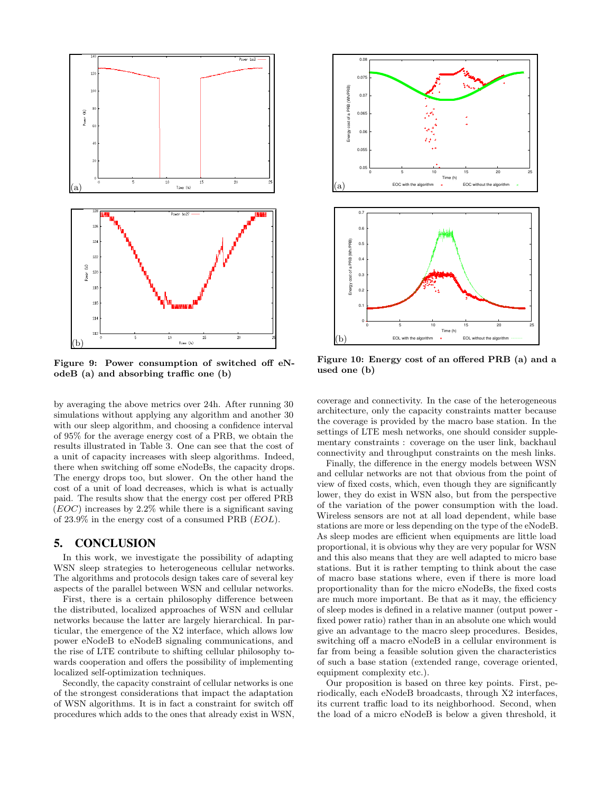

Figure 9: Power consumption of switched off eNodeB (a) and absorbing traffic one (b)

by averaging the above metrics over 24h. After running 30 simulations without applying any algorithm and another 30 with our sleep algorithm, and choosing a confidence interval of 95% for the average energy cost of a PRB, we obtain the results illustrated in Table 3. One can see that the cost of a unit of capacity increases with sleep algorithms. Indeed, there when switching off some eNodeBs, the capacity drops. The energy drops too, but slower. On the other hand the cost of a unit of load decreases, which is what is actually paid. The results show that the energy cost per offered PRB  $(EOC)$  increases by 2.2% while there is a significant saving of 23.9% in the energy cost of a consumed PRB (EOL).

## 5. CONCLUSION

In this work, we investigate the possibility of adapting WSN sleep strategies to heterogeneous cellular networks. The algorithms and protocols design takes care of several key aspects of the parallel between WSN and cellular networks.

First, there is a certain philosophy difference between the distributed, localized approaches of WSN and cellular networks because the latter are largely hierarchical. In particular, the emergence of the X2 interface, which allows low power eNodeB to eNodeB signaling communications, and the rise of LTE contribute to shifting cellular philosophy towards cooperation and offers the possibility of implementing localized self-optimization techniques.

Secondly, the capacity constraint of cellular networks is one of the strongest considerations that impact the adaptation of WSN algorithms. It is in fact a constraint for switch off procedures which adds to the ones that already exist in WSN,



Figure 10: Energy cost of an offered PRB (a) and a used one (b)

coverage and connectivity. In the case of the heterogeneous architecture, only the capacity constraints matter because the coverage is provided by the macro base station. In the settings of LTE mesh networks, one should consider supplementary constraints : coverage on the user link, backhaul connectivity and throughput constraints on the mesh links.

Finally, the difference in the energy models between WSN and cellular networks are not that obvious from the point of view of fixed costs, which, even though they are significantly lower, they do exist in WSN also, but from the perspective of the variation of the power consumption with the load. Wireless sensors are not at all load dependent, while base stations are more or less depending on the type of the eNodeB. As sleep modes are efficient when equipments are little load proportional, it is obvious why they are very popular for WSN and this also means that they are well adapted to micro base stations. But it is rather tempting to think about the case of macro base stations where, even if there is more load proportionality than for the micro eNodeBs, the fixed costs are much more important. Be that as it may, the efficiency of sleep modes is defined in a relative manner (output power fixed power ratio) rather than in an absolute one which would give an advantage to the macro sleep procedures. Besides, switching off a macro eNodeB in a cellular environment is far from being a feasible solution given the characteristics of such a base station (extended range, coverage oriented, equipment complexity etc.).

Our proposition is based on three key points. First, periodically, each eNodeB broadcasts, through X2 interfaces, its current traffic load to its neighborhood. Second, when the load of a micro eNodeB is below a given threshold, it